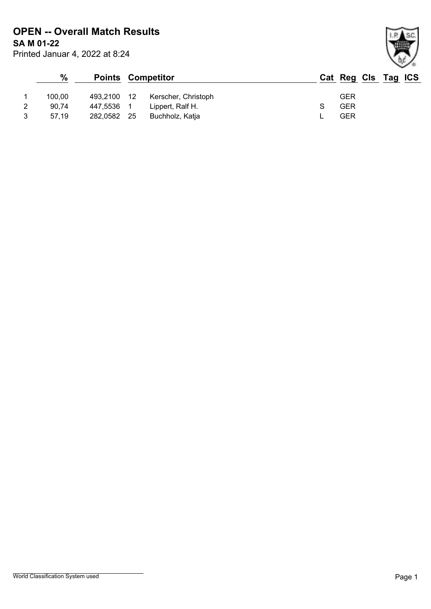Printed Januar 4, 2022 at 8:24 **SA M 01-22 OPEN -- Overall Match Results**

|   | %      |             |      | <b>Points Competitor</b> | Cat Reg Cls Tag ICS |  |  |
|---|--------|-------------|------|--------------------------|---------------------|--|--|
|   | 100.00 | 493,2100 12 |      | Kerscher, Christoph      | <b>GER</b>          |  |  |
| 2 | 90.74  | 447.5536 1  |      | Lippert, Ralf H.         | GER                 |  |  |
| 3 | 57.19  | 282.0582    | - 25 | Buchholz, Katja          | GER                 |  |  |

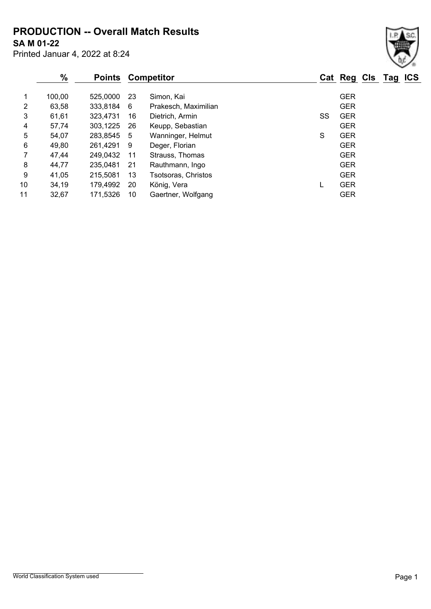**PRODUCTION -- Overall Match Results**

**SA M 01-22**

Printed Januar 4, 2022 at 8:24

|    | $\frac{0}{0}$ | <b>Points</b> |     | <b>Competitor</b>    |    | Cat Reg Cls Tag ICS |  |  |
|----|---------------|---------------|-----|----------------------|----|---------------------|--|--|
|    | 100,00        | 525,0000      | -23 | Simon, Kai           |    | <b>GER</b>          |  |  |
| 2  | 63,58         | 333,8184      | 6   | Prakesch, Maximilian |    | <b>GER</b>          |  |  |
| 3  | 61,61         | 323,4731      | 16  | Dietrich, Armin      | SS | <b>GER</b>          |  |  |
| 4  | 57,74         | 303,1225      | -26 | Keupp, Sebastian     |    | <b>GER</b>          |  |  |
| 5  | 54,07         | 283,8545 5    |     | Wanninger, Helmut    | S  | <b>GER</b>          |  |  |
| 6  | 49,80         | 261,4291 9    |     | Deger, Florian       |    | <b>GER</b>          |  |  |
| 7  | 47,44         | 249,0432      | -11 | Strauss, Thomas      |    | <b>GER</b>          |  |  |
| 8  | 44,77         | 235,0481      | -21 | Rauthmann, Ingo      |    | <b>GER</b>          |  |  |
| 9  | 41,05         | 215,5081      | 13  | Tsotsoras, Christos  |    | <b>GER</b>          |  |  |
| 10 | 34,19         | 179,4992      | 20  | König, Vera          |    | <b>GER</b>          |  |  |
| 11 | 32,67         | 171,5326      | 10  | Gaertner, Wolfgang   |    | <b>GER</b>          |  |  |
|    |               |               |     |                      |    |                     |  |  |

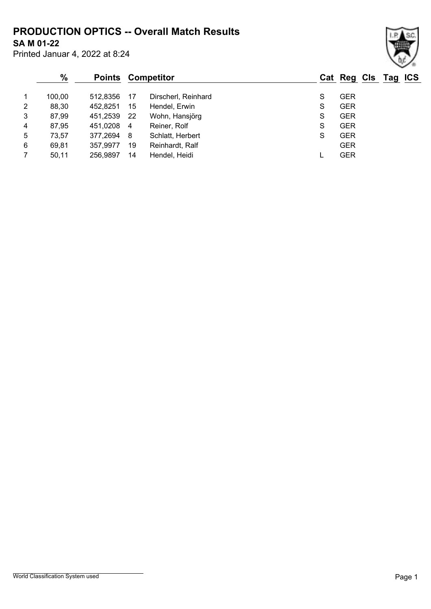### **SA M 01-22 PRODUCTION OPTICS -- Overall Match Results**

Printed Januar 4, 2022 at 8:24

#### **% Points Competitor Cat Reg Cls Tag ICS** 1 100,00 512,8356 17 Dirscherl, Reinhard S GER 2 88,30 452,8251 15 Hendel, Erwin S GER 3 87,99 451,2539 22 Wohn, Hansjörg S S GER 4 87,95 451,0208 4 Reiner, Rolf S GER 5 73,57 377,2694 8 Schlatt, Herbert S GER 6 69,81 357,9977 19 Reinhardt, Ralf GER 7 50,11 256,9897 14 Hendel, Heidi L GER

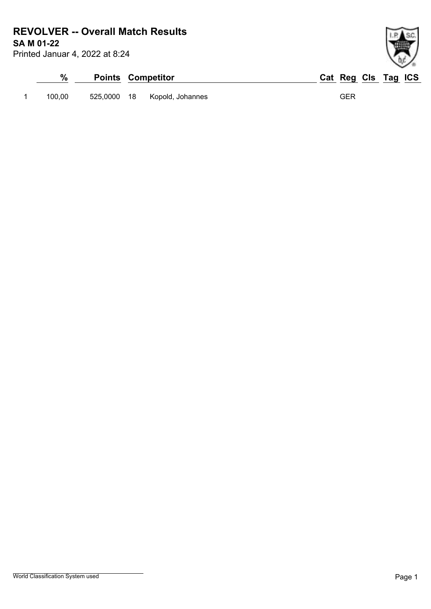## **SA M 01-22 REVOLVER -- Overall Match Results**

Printed Januar 4, 2022 at 8:24

# **% Points Competitor Cat Reg Cls Tag ICS** 1 100,00 525,0000 18 Kopold, Johannes GER